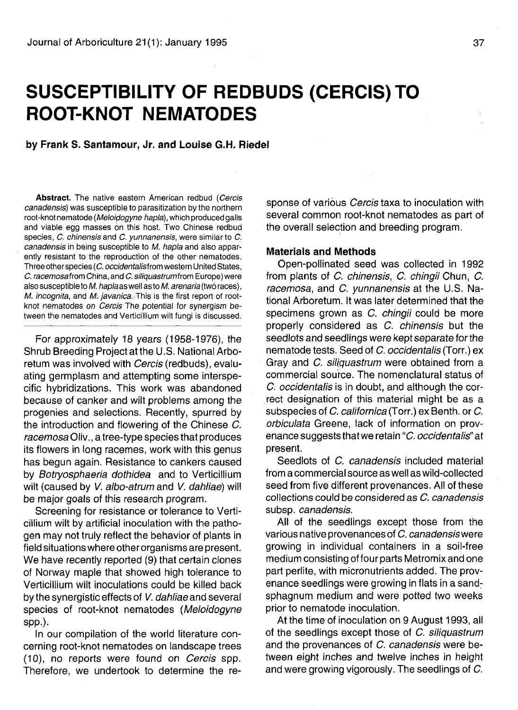## **SUSCEPTIBILITY OF REDBUDS (CERCIS)TO ROOT-KNOT NEMATODES**

**by Frank S. Santamour, Jr. and Louise G.H. Riedel**

Abstract. The native eastern American redbud (Cercis canadensis) was susceptible to parasitization by the northern root-knot nematode (Meloidogyne hapla), which produced galls and viable egg masses on this host. Two Chinese redbud species, C. chinensis and C. vunnanensis, were similar to C. canadensis in being susceptible to M. hapla and also apparently resistant to the reproduction of the other nematodes. Three other species (C. occidentalisfrom western United States, C. racemosafrom China, and C. siliquastrumfrom Europe) were also susceptible to M. hapla as well as to M. arenaria (two races),  $M.$  incognita, and  $M.$  javanica. This is the first report of rootknot nematodes on Cercis The potential for synergism between the nematodes and Verticillium wilt fungi is discussed.

For approximately 18 years (1958-1976), the Shrub Breeding Project at the U.S. National Arboretum was involved with Cercis (redbuds), evaluating germplasm and attempting some interspecific hybridizations. This work was abandoned because of canker and wilt problems among the progenies and selections. Recently, spurred by the introduction and flowering of the Chinese C. racemosa Oliv., a tree-type species that produces its flowers in long racemes, work with this genus has begun again. Resistance to cankers caused by Botryosphaeria dothidea and to Verticillium wilt (caused by V. albo-atrum and V. dahliae) will be major goals of this research program.

Screening for resistance or tolerance to Verticillium wilt by artificial inoculation with the pathogen may not truly reflect the behavior of plants in field situations where other organisms are present. We have recently reported (9) that certain clones of Norway maple that showed high tolerance to Verticillium wilt inoculations could be killed back by the synergistic effects of V. dahliae and several species of root-knot nematodes (Meloidogyne spp.).

In our compilation of the world literature concerning root-knot nematodes on landscape trees (10), no reports were found on Cercis spp. Therefore, we undertook to determine the response of various *Cercis* taxa to inoculation with several common root-knot nematodes as part of the overall selection and breeding program.

## **Materials and Methods**

Open-pollinated seed was collected in 1992 from plants of C. chinensis, C. chingii Chun, C. racemosa, and C. yunnanensis at the U.S. National Arboretum. It was later determined that the specimens grown as C. chingii could be more properly considered as C. chinensis but the seedlots and seedlings were kept separate for the nematode tests. Seed of C. occidentalis (Torr.) ex Gray and C. siliquastrum were obtained from a commercial source. The nomenclatural status of C. occidentalis is in doubt, and although the correct designation of this material might be as a subspecies of C. californica (Torr.) ex Benth. or C. orbiculata Greene, lack of information on provenance suggests that we retain "C. occidentalis" at present.

Seedlots of C. canadensis included material from a commercial source as well as wild-collected seed from five different provenances. All of these collections could be considered as C. canadensis subsp. canadensis.

All of the seedlings except those from the various native provenances of C. canadensiswere growing in individual containers in a soil-free medium consisting of four parts Metromix and one part perlite, with micronutrients added. The provenance seedlings were growing in flats in a sandsphagnum medium and were potted two weeks prior to nematode inoculation.

At the time of inoculation on 9 August 1993, all of the seedlings except those of C. siliguastrum and the provenances of C. canadensis were between eight inches and twelve inches in height and were growing vigorously. The seedlings of C.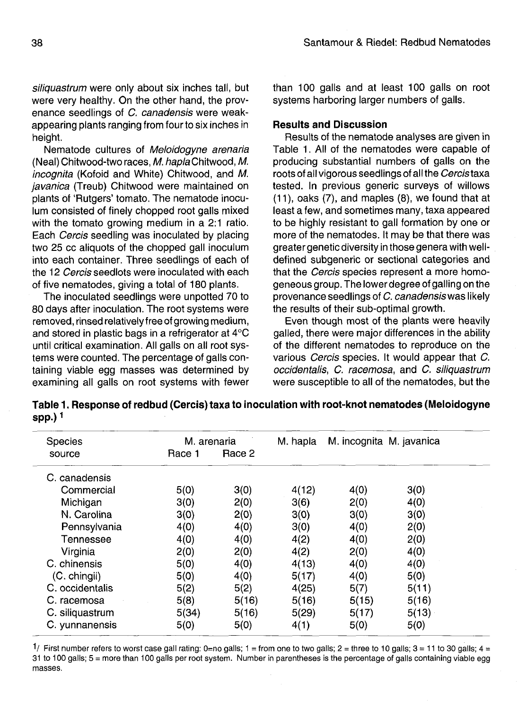siliquastrum were only about six inches tall, but were very healthy. On the other hand, the provenance seedlings of C. canadensis were weakappearing plants ranging from four to six inches in height.

Nematode cultures of Meloidogyne arenaria (Neal) Chitwood-two races, M. hapla Chitwood, M. incognita (Kofoid and White) Chitwood, and M. javanica (Treub) Chitwood were maintained on plants of 'Rutgers' tomato. The nematode inoculum consisted of finely chopped root galls mixed with the tomato growing medium in a 2:1 ratio. Each Cercis seedling was inoculated by placing two 25 cc aliquots of the chopped gall inoculum into each container. Three seedlings of each of the 12 Cercis seedlots were inoculated with each of five nematodes, giving a total of 180 plants.

The inoculated seedlings were unpotted 70 to 80 days after inoculation. The root systems were removed, rinsed relatively free of growing medium, and stored in plastic bags in a refrigerator at 4°C until critical examination. All galls on all root systems were counted. The percentage of galls containing viable egg masses was determined by examining all galls on root systems with fewer than 100 galls and at least 100 galls on root systems harboring larger numbers of galls.

## **Results and Discussion**

Results of the nematode analyses are given in Table 1. All of the nematodes were capable of producing substantial numbers of galls on the roots of all vigorous seedlings of all the Cercistaxa tested. In previous generic surveys of willows (11), oaks (7), and maples (8), we found that at least a few, and sometimes many, taxa appeared to be highly resistant to gall formation by one or more of the nematodes. It may be that there was greater genetic diversity in those genera with welldefined subgeneric or sectional categories and that the Cercis species represent a more homogeneous group. The lower degree of galling on the provenance seedlings of C. canadensiswas likely the results of their sub-optimal growth.

Even though most of the plants were heavily galled, there were major differences in the ability of the different nematodes to reproduce on the various Cercis species. It would appear that C. occidentalis, C. racemosa, and C. siliquastrum were susceptible to all of the nematodes, but the

**Table 1. Response of redbud (Cercis) taxa to inoculation with root-knot nematodes (Meloidogyne spp.)<sup>1</sup>**

| <b>Species</b>  | M. arenaria |        | M. hapla | M. incognita M. javanica |       |
|-----------------|-------------|--------|----------|--------------------------|-------|
| source          | Race 1      | Race 2 |          |                          |       |
| C. canadensis   |             |        |          |                          |       |
| Commercial      | 5(0)        | 3(0)   | 4(12)    | 4(0)                     | 3(0)  |
| Michigan        | 3(0)        | 2(0)   | 3(6)     | 2(0)                     | 4(0)  |
| N. Carolina     | 3(0)        | 2(0)   | 3(0)     | 3(0)                     | 3(0)  |
| Pennsylvania    | 4(0)        | 4(0)   | 3(0)     | 4(0)                     | 2(0)  |
| Tennessee       | 4(0)        | 4(0)   | 4(2)     | 4(0)                     | 2(0)  |
| Virginia        | 2(0)        | 2(0)   | 4(2)     | 2(0)                     | 4(0)  |
| C. chinensis    | 5(0)        | 4(0)   | 4(13)    | 4(0)                     | 4(0)  |
| (C. chingii)    | 5(0)        | 4(0)   | 5(17)    | 4(0)                     | 5(0)  |
| C. occidentalis | 5(2)        | 5(2)   | 4(25)    | 5(7)                     | 5(11) |
| C. racemosa     | 5(8)        | 5(16)  | 5(16)    | 5(15)                    | 5(16) |
| C. siliquastrum | 5(34)       | 5(16)  | 5(29)    | 5(17)                    | 5(13) |
| C. yunnanensis  | 5(0)        | 5(0)   | 4(1)     | 5(0)                     | 5(0)  |

 $\frac{1}{2}$  First number refers to worst case gall rating: 0=no galls; 1 = from one to two galls; 2 = three to 10 galls; 3 = 11 to 30 galls; 4 = 31 to 100 galls; 5 = more than 100 galls per root system. Number in parentheses is the percentage of galls containing viable egg masses.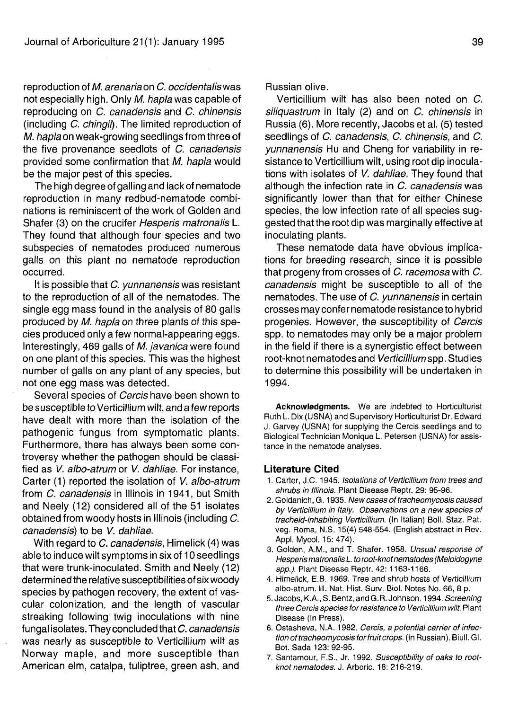reproduction of M. arenaria on  $C$ , occidentalis was not especially high. Only M. hapla was capable of reproducing on C. canadensis and C. chinensis (including C. chingii). The limited reproduction of M. hapla on weak-growing seedlings from three of the five provenance seedlots of C. canadensis provided some confirmation that M. hapla would be the major pest of this species.

The high degree of galling and lack of nematode reproduction in many redbud-nematode combinations is reminiscent of the work of Golden and Shafer (3) on the crucifer Hesperis matronalis L. They found that although four species and two subspecies of nematodes produced numerous galls on this plant no nematode reproduction occurred.

It is possible that C. yunnanensiswas resistant to the reproduction of all of the nematodes. The single egg mass found in the analysis of 80 galls produced by M. hapla on three plants of this species produced only a few normal-appearing eggs. Interestingly, 469 galls of M. javanica were found on one plant of this species. This was the highest number of galls on any plant of any species, but not one egg mass was detected.

Several species of Cercis have been shown to be susceptible to Verticillium wilt, and a few reports have dealt with more than the isolation of the pathogenic fungus from symptomatic plants. Furthermore, there has always been some controversy whether the pathogen should be classified as V. albo-atrum or V. dahliae. For instance, Carter (1) reported the isolation of V. albo-atrum from C. canadensis in Illinois in 1941, but Smith and Neely (12) considered all of the 51 isolates obtained from woody hosts in Illinois (including C. canadensis) to be V. dahliae.

With regard to C. canadensis, Himelick (4) was able to induce wilt symptoms in six of 10 seedlings that were trunk-inoculated. Smith and Neely (12) determined the relative susceptibilities of six woody species by pathogen recovery, the extent of vascular colonization, and the length of vascular streaking following twig inoculations with nine fungal isolates. They concluded that C. canadensis was nearly as susceptible to Verticillium wilt as Norway maple, and more susceptible than American elm, catalpa, tuliptree, green ash, and

Russian olive.

Verticillium wilt has also been noted on C. siliquastrum in Italy (2) and on C. chinensis in Russia (6). More recently, Jacobs et al. (5) tested seedlings of C. canadensis, C. chinensis, and C. yunnanensis Hu and Cheng for variability in resistance to Verticillium wilt, using root dip inoculations with isolates of V. dahliae. They found that although the infection rate in C. canadensis was significantly lower than that for either Chinese species, the low infection rate of all species suggested that the root dip was marginally effective at inoculating plants.

These nematode data have obvious implications for breeding research, since it is possible that progeny from crosses of C. racemosa with C. canadensis might be susceptible to all of the nematodes. The use of C. yunnanensis in certain crosses may confer nematode resistance to hybrid progenies. However, the susceptibility of Cercis spp. to nematodes may only be a major problem in the field if there is a synergistic effect between root-knot nematodes and Verticillium spp. Studies to determine this possibility will be undertaken in 1994.

**Acknowledgments.** We are indebted to Horticulturist Ruth L. Dix (USNA) and Supervisory Horticulturist Dr. Edward J. Garvey (USNA) for supplying the Cercis seedlings and to Biological Technician Monique L. Petersen (USNA) for assistance in the nematode analyses.

## **Literature Cited**

- 1. Carter, J.C. 1945. Isolations of Verticillium from trees and shrubs in Illinois. Plant Disease Reptr. 29: 95-96.
- 2. Goidanich, G. 1935. New cases of tracheomycosis caused by Verticillium in Italy. Observations on a new species of tracheid-inhabiting Verticillium. (In Italian) Boll. Staz. Pat. veg. Roma, N.S. 15(4) 548-554. (English abstract in Rev. Appl. Mycol. 15:474).
- 3. Golden, A.M., and T. Shafer. 1958. Unsual response of Hesperis matronalis L. to root-knot nematodes (Meloidogyne spp.). Plant Disease Reptr. 42: 1163-1166.
- 4. Himelick, E.B. 1969. Tree and shrub hosts of Verticillium albo-atrum. III. Nat. Hist. Surv. Biol. Notes No. 66, 8 p.
- 5. Jacobs, K.A., S. Bentz, and G.R. Johnson. 1994. Screening three Cercis species for resistance to Verticillium wilt. Plant Disease (In Press).
- 6. Ostasheva, N.A. 1982. Cercis, a potential carrier of infection of tracheomycosis for fruit crops. (In Russian). Biull. Gl. Bot. Sada 123:92-95.
- 7. Santamour, F.S., Jr. 1992. Susceptibility of oaks to rootknot nematodes. J. Arboric. 18: 216-219.